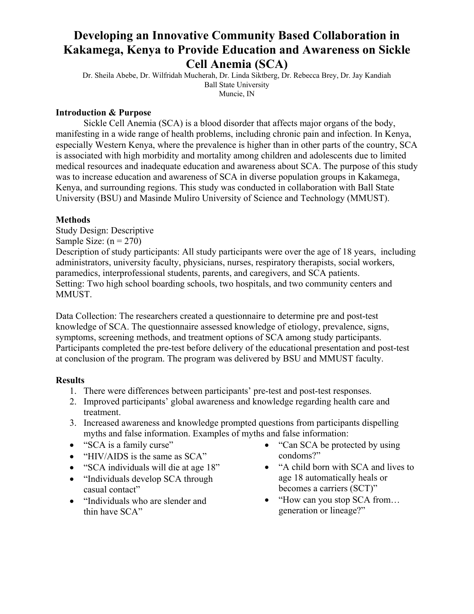## **Developing an Innovative Community Based Collaboration in Kakamega, Kenya to Provide Education and Awareness on Sickle Cell Anemia (SCA)**

Dr. Sheila Abebe, Dr. Wilfridah Mucherah, Dr. Linda Siktberg, Dr. Rebecca Brey, Dr. Jay Kandiah Ball State University Muncie, IN

### **Introduction & Purpose**

Sickle Cell Anemia (SCA) is a blood disorder that affects major organs of the body, manifesting in a wide range of health problems, including chronic pain and infection. In Kenya, especially Western Kenya, where the prevalence is higher than in other parts of the country, SCA is associated with high morbidity and mortality among children and adolescents due to limited medical resources and inadequate education and awareness about SCA. The purpose of this study was to increase education and awareness of SCA in diverse population groups in Kakamega, Kenya, and surrounding regions. This study was conducted in collaboration with Ball State University (BSU) and Masinde Muliro University of Science and Technology (MMUST).

### **Methods**

Study Design: Descriptive

Sample Size:  $(n = 270)$ 

Description of study participants: All study participants were over the age of 18 years, including administrators, university faculty, physicians, nurses, respiratory therapists, social workers, paramedics, interprofessional students, parents, and caregivers, and SCA patients. Setting: Two high school boarding schools, two hospitals, and two community centers and MMUST.

Data Collection: The researchers created a questionnaire to determine pre and post-test knowledge of SCA. The questionnaire assessed knowledge of etiology, prevalence, signs, symptoms, screening methods, and treatment options of SCA among study participants. Participants completed the pre-test before delivery of the educational presentation and post-test at conclusion of the program. The program was delivered by BSU and MMUST faculty.

### **Results**

- 1. There were differences between participants' pre-test and post-test responses.
- 2. Improved participants' global awareness and knowledge regarding health care and treatment.
- 3. Increased awareness and knowledge prompted questions from participants dispelling myths and false information. Examples of myths and false information:
- "SCA is a family curse"
- "HIV/AIDS is the same as SCA"
- "SCA individuals will die at age 18"
- "Individuals develop SCA through casual contact"
- "Individuals who are slender and thin have SCA"
- "Can SCA be protected by using condoms?"
- "A child born with SCA and lives to age 18 automatically heals or becomes a carriers (SCT)"
- "How can you stop SCA from... generation or lineage?"